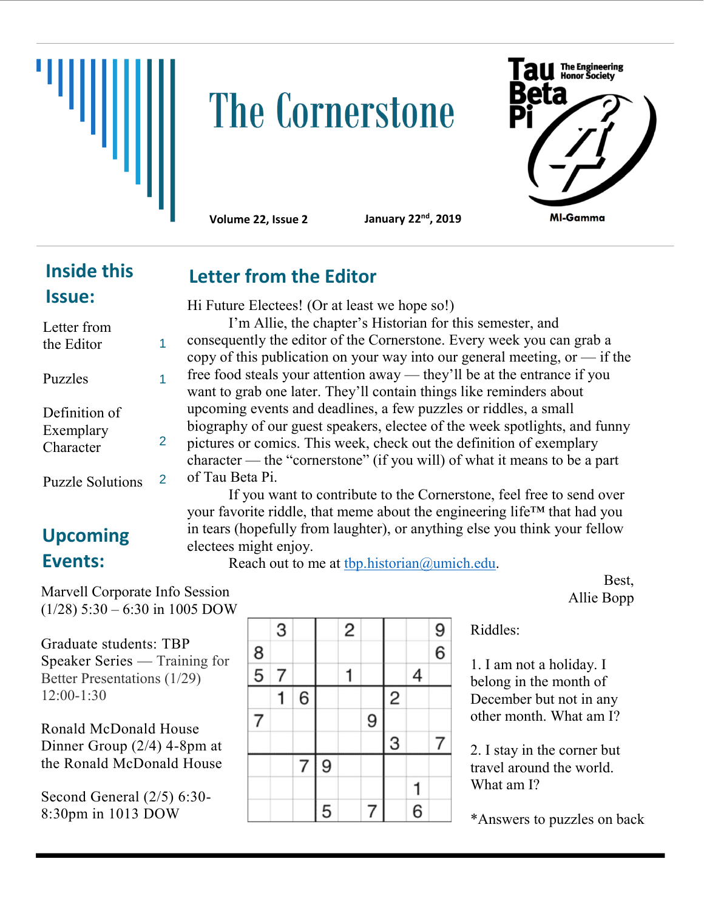

# **The Cornerstone**



**Volume 22, Issue 2 January 22nd, 2019**

## **Inside this Issue:**

| Letter from<br>the Editor               |   |
|-----------------------------------------|---|
| Puzzles                                 |   |
| Definition of<br>Exemplary<br>Character | 2 |
| <b>Puzzle Solutions</b>                 |   |

# **Upcoming Events:**

Marvell Corporate Info Session  $(1/28)$  5:30 – 6:30 in 1005 DOW

Graduate students: TBP Speaker Series — Training for Better Presentations (1/29) 12:00-1:30

Ronald McDonald House Dinner Group (2/4) 4-8pm at the Ronald McDonald House

Second General (2/5) 6:30- 8:30pm in 1013 DOW

|               | 3 |   |   | $\overline{c}$ |   |                |   | $\frac{9}{6}$ |
|---------------|---|---|---|----------------|---|----------------|---|---------------|
| $\frac{8}{5}$ |   |   |   |                |   |                |   |               |
|               | 7 |   |   |                |   |                | 4 |               |
|               |   | 6 |   |                |   | $\overline{c}$ |   |               |
| 7             |   |   |   |                | 9 |                |   |               |
|               |   |   |   |                |   | 3              |   |               |
|               |   | 7 | 9 |                |   |                |   |               |
|               |   |   |   |                |   |                |   |               |
|               |   |   | 5 |                |   |                | 6 |               |

Riddles:

1. I am not a holiday. I belong in the month of December but not in any other month. What am I?

2. I stay in the corner but travel around the world. What am I?

\*Answers to puzzles on back

#### **Letter from the Editor**

Hi Future Electees! (Or at least we hope so!)

I'm Allie, the chapter's Historian for this semester, and consequently the editor of the Cornerstone. Every week you can grab a copy of this publication on your way into our general meeting, or  $-$  if the free food steals your attention away — they'll be at the entrance if you want to grab one later. They'll contain things like reminders about upcoming events and deadlines, a few puzzles or riddles, a small biography of our guest speakers, electee of the week spotlights, and funny pictures or comics. This week, check out the definition of exemplary character — the "cornerstone" (if you will) of what it means to be a part of Tau Beta Pi.

If you want to contribute to the Cornerstone, feel free to send over your favorite riddle, that meme about the engineering life™ that had you in tears (hopefully from laughter), or anything else you think your fellow electees might enjoy.

Reach out to me at thp.historian@umich.edu.

Best, Allie Bopp